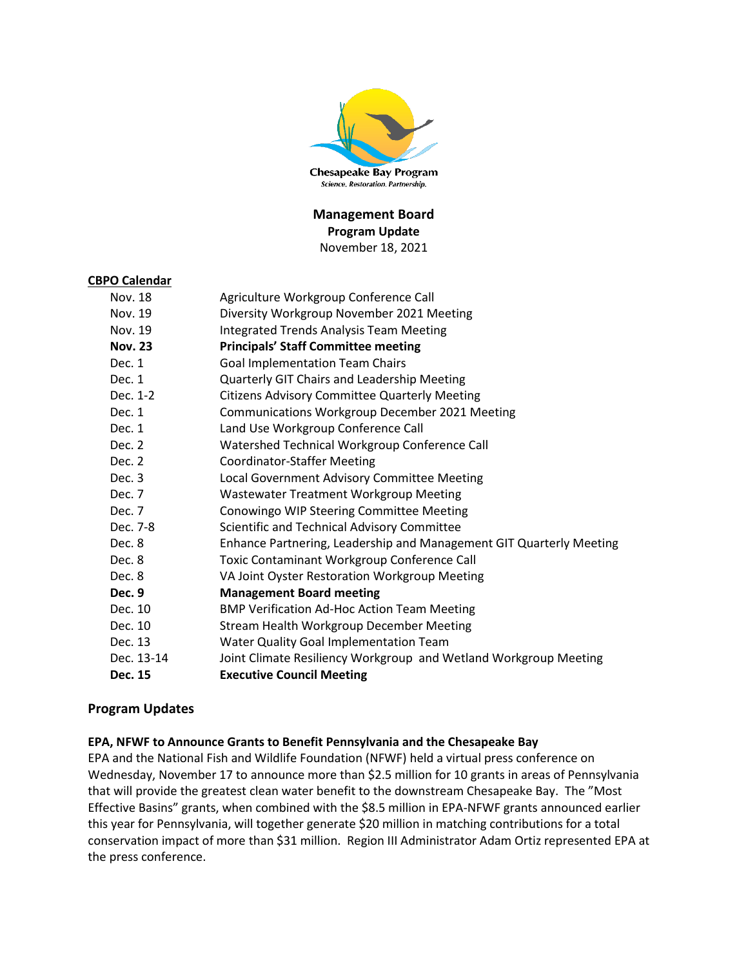

## **Management Board Program Update** November 18, 2021

#### **CBPO Calendar**

| Nov. 18        | Agriculture Workgroup Conference Call                               |
|----------------|---------------------------------------------------------------------|
| Nov. 19        | Diversity Workgroup November 2021 Meeting                           |
| Nov. 19        | <b>Integrated Trends Analysis Team Meeting</b>                      |
| <b>Nov. 23</b> | <b>Principals' Staff Committee meeting</b>                          |
| Dec. 1         | <b>Goal Implementation Team Chairs</b>                              |
| Dec. 1         | Quarterly GIT Chairs and Leadership Meeting                         |
| Dec. 1-2       | <b>Citizens Advisory Committee Quarterly Meeting</b>                |
| Dec. 1         | Communications Workgroup December 2021 Meeting                      |
| Dec. 1         | Land Use Workgroup Conference Call                                  |
| Dec. 2         | Watershed Technical Workgroup Conference Call                       |
| Dec. 2         | <b>Coordinator-Staffer Meeting</b>                                  |
| Dec. 3         | <b>Local Government Advisory Committee Meeting</b>                  |
| Dec. 7         | Wastewater Treatment Workgroup Meeting                              |
| Dec. 7         | Conowingo WIP Steering Committee Meeting                            |
| Dec. 7-8       | Scientific and Technical Advisory Committee                         |
| Dec. 8         | Enhance Partnering, Leadership and Management GIT Quarterly Meeting |
| Dec. 8         | Toxic Contaminant Workgroup Conference Call                         |
| Dec. 8         | VA Joint Oyster Restoration Workgroup Meeting                       |
| Dec. 9         | <b>Management Board meeting</b>                                     |
| Dec. 10        | <b>BMP Verification Ad-Hoc Action Team Meeting</b>                  |
| Dec. 10        | <b>Stream Health Workgroup December Meeting</b>                     |
| Dec. 13        | Water Quality Goal Implementation Team                              |
| Dec. 13-14     | Joint Climate Resiliency Workgroup and Wetland Workgroup Meeting    |
| Dec. 15        | <b>Executive Council Meeting</b>                                    |

### **Program Updates**

#### **EPA, NFWF to Announce Grants to Benefit Pennsylvania and the Chesapeake Bay**

EPA and the National Fish and Wildlife Foundation (NFWF) held a virtual press conference on Wednesday, November 17 to announce more than \$2.5 million for 10 grants in areas of Pennsylvania that will provide the greatest clean water benefit to the downstream Chesapeake Bay. The "Most Effective Basins" grants, when combined with the \$8.5 million in EPA-NFWF grants announced earlier this year for Pennsylvania, will together generate \$20 million in matching contributions for a total conservation impact of more than \$31 million. Region III Administrator Adam Ortiz represented EPA at the press conference.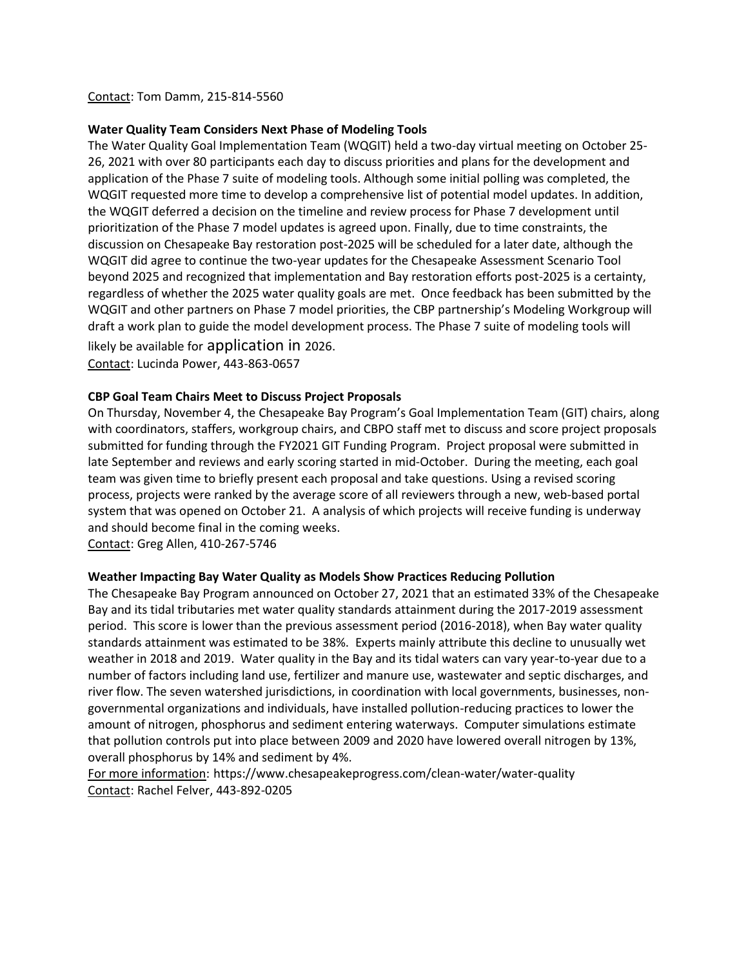#### Contact: Tom Damm, 215-814-5560

#### **Water Quality Team Considers Next Phase of Modeling Tools**

The Water Quality Goal Implementation Team (WQGIT) held a two-day virtual meeting on October 25- 26, 2021 with over 80 participants each day to discuss priorities and plans for the development and application of the Phase 7 suite of modeling tools. Although some initial polling was completed, the WQGIT requested more time to develop a comprehensive list of potential model updates. In addition, the WQGIT deferred a decision on the timeline and review process for Phase 7 development until prioritization of the Phase 7 model updates is agreed upon. Finally, due to time constraints, the discussion on Chesapeake Bay restoration post-2025 will be scheduled for a later date, although the WQGIT did agree to continue the two-year updates for the Chesapeake Assessment Scenario Tool beyond 2025 and recognized that implementation and Bay restoration efforts post-2025 is a certainty, regardless of whether the 2025 water quality goals are met. Once feedback has been submitted by the WQGIT and other partners on Phase 7 model priorities, the CBP partnership's Modeling Workgroup will draft a work plan to guide the model development process. The Phase 7 suite of modeling tools will likely be available for application in 2026. Contact: Lucinda Power, 443-863-0657

#### **CBP Goal Team Chairs Meet to Discuss Project Proposals**

On Thursday, November 4, the Chesapeake Bay Program's Goal Implementation Team (GIT) chairs, along with coordinators, staffers, workgroup chairs, and CBPO staff met to discuss and score project proposals submitted for funding through the FY2021 GIT Funding Program. Project proposal were submitted in late September and reviews and early scoring started in mid-October. During the meeting, each goal team was given time to briefly present each proposal and take questions. Using a revised scoring process, projects were ranked by the average score of all reviewers through a new, web-based portal system that was opened on October 21. A analysis of which projects will receive funding is underway and should become final in the coming weeks.

Contact: Greg Allen, 410-267-5746

#### **Weather Impacting Bay Water Quality as Models Show Practices Reducing Pollution**

The Chesapeake Bay Program announced on October 27, 2021 that an estimated 33% of the Chesapeake Bay and its tidal tributaries met water quality standards attainment during the 2017-2019 assessment period. This score is lower than the previous assessment period (2016-2018), when Bay water quality standards attainment was estimated to be 38%. Experts mainly attribute this decline to unusually wet weather in 2018 and 2019. Water quality in the Bay and its tidal waters can vary year-to-year due to a number of factors including land use, fertilizer and manure use, wastewater and septic discharges, and river flow. The seven watershed jurisdictions, in coordination with local governments, businesses, nongovernmental organizations and individuals, have installed pollution-reducing practices to lower the amount of nitrogen, phosphorus and sediment entering waterways. Computer simulations estimate that pollution controls put into place between 2009 and 2020 have lowered overall nitrogen by 13%, overall phosphorus by 14% and sediment by 4%.

For more information: https://www.chesapeakeprogress.com/clean-water/water-quality Contact: Rachel Felver, 443-892-0205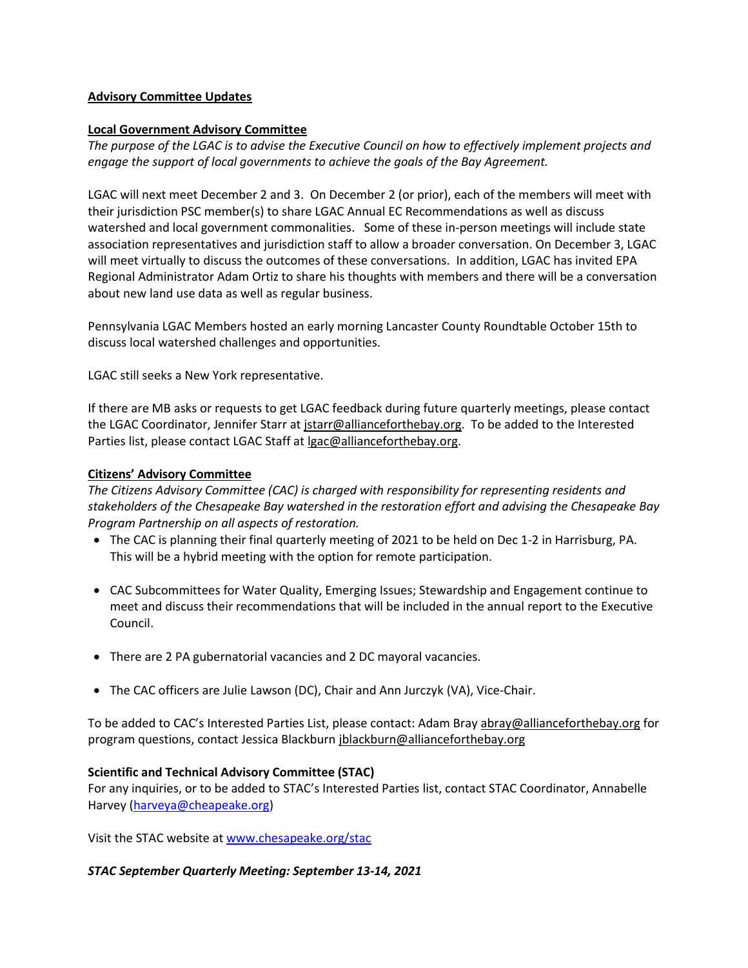### **Advisory Committee Updates**

### **Local Government Advisory Committee**

*The purpose of the LGAC is to advise the Executive Council on how to effectively implement projects and engage the support of local governments to achieve the goals of the Bay Agreement.*

LGAC will next meet December 2 and 3. On December 2 (or prior), each of the members will meet with their jurisdiction PSC member(s) to share LGAC Annual EC Recommendations as well as discuss watershed and local government commonalities. Some of these in-person meetings will include state association representatives and jurisdiction staff to allow a broader conversation. On December 3, LGAC will meet virtually to discuss the outcomes of these conversations. In addition, LGAC has invited EPA Regional Administrator Adam Ortiz to share his thoughts with members and there will be a conversation about new land use data as well as regular business.

Pennsylvania LGAC Members hosted an early morning Lancaster County Roundtable October 15th to discuss local watershed challenges and opportunities.

LGAC still seeks a New York representative.

If there are MB asks or requests to get LGAC feedback during future quarterly meetings, please contact the LGAC Coordinator, Jennifer Starr at *jstarr@allianceforthebay.org*. To be added to the Interested Parties list, please contact LGAC Staff at [lgac@allianceforthebay.org.](mailto:lgac@allianceforthebay.org)

### **Citizens' Advisory Committee**

*The Citizens Advisory Committee (CAC) is charged with responsibility for representing residents and stakeholders of the Chesapeake Bay watershed in the restoration effort and advising the Chesapeake Bay Program Partnership on all aspects of restoration.*

- The CAC is planning their final quarterly meeting of 2021 to be held on Dec 1-2 in Harrisburg, PA. This will be a hybrid meeting with the option for remote participation.
- CAC Subcommittees for Water Quality, Emerging Issues; Stewardship and Engagement continue to meet and discuss their recommendations that will be included in the annual report to the Executive Council.
- There are 2 PA gubernatorial vacancies and 2 DC mayoral vacancies.
- The CAC officers are Julie Lawson (DC), Chair and Ann Jurczyk (VA), Vice-Chair.

To be added to CAC's Interested Parties List, please contact: Adam Bray [abray@allianceforthebay.org](mailto:abray@allianceforthebay.org) for program questions, contact Jessica Blackburn [jblackburn@allianceforthebay.org](mailto:jblackburn@allianceforthebay.org)

### **Scientific and Technical Advisory Committee (STAC)**

For any inquiries, or to be added to STAC's Interested Parties list, contact STAC Coordinator, Annabelle Harvey [\(harveya@cheapeake.org\)](mailto:harveya@cheapeake.org)

Visit the STAC website at [www.chesapeake.org/stac](http://www.chesapeake.org/stac)

### *STAC September Quarterly Meeting: September 13-14, 2021*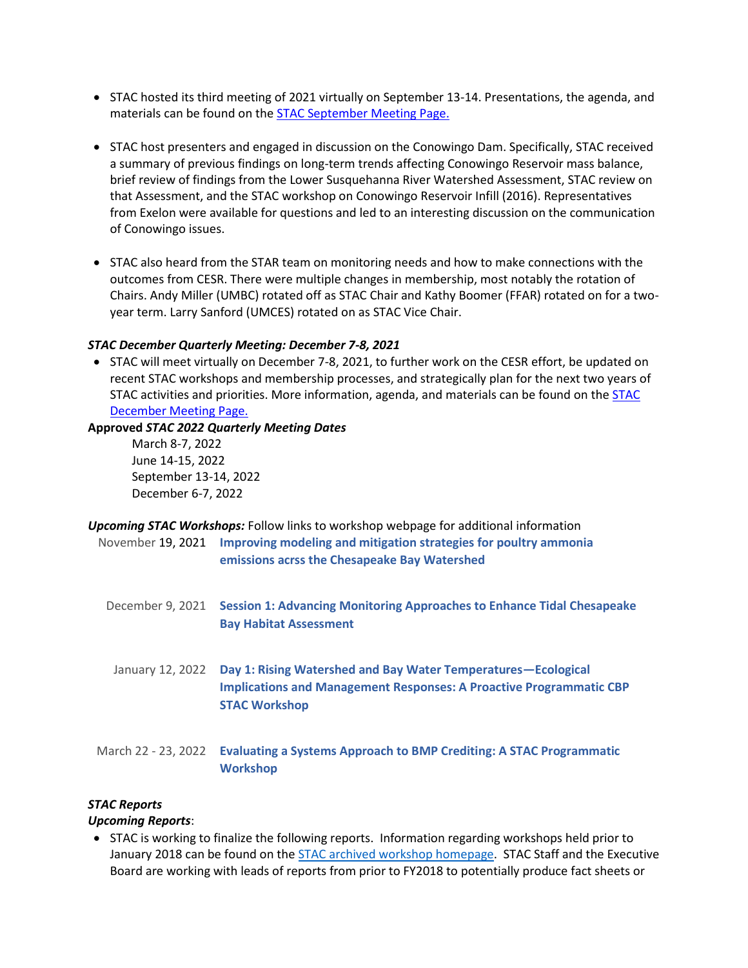- STAC hosted its third meeting of 2021 virtually on September 13-14. Presentations, the agenda, and materials can be found on the **STAC September Meeting Page.**
- STAC host presenters and engaged in discussion on the Conowingo Dam. Specifically, STAC received a summary of previous findings on long-term trends affecting Conowingo Reservoir mass balance, brief review of findings from the Lower Susquehanna River Watershed Assessment, STAC review on that Assessment, and the STAC workshop on Conowingo Reservoir Infill (2016). Representatives from Exelon were available for questions and led to an interesting discussion on the communication of Conowingo issues.
- STAC also heard from the STAR team on monitoring needs and how to make connections with the outcomes from CESR. There were multiple changes in membership, most notably the rotation of Chairs. Andy Miller (UMBC) rotated off as STAC Chair and Kathy Boomer (FFAR) rotated on for a twoyear term. Larry Sanford (UMCES) rotated on as STAC Vice Chair.

#### *STAC December Quarterly Meeting: December 7-8, 2021*

• STAC will meet virtually on December 7-8, 2021, to further work on the CESR effort, be updated on recent STAC workshops and membership processes, and strategically plan for the next two years of STAC activities and priorities. More information, agenda, and materials can be found on the [STAC](https://www.chesapeake.org/stac/events/december-2021-stac-quarterly-meeting/)  [December Meeting Page.](https://www.chesapeake.org/stac/events/december-2021-stac-quarterly-meeting/)

#### **Approved** *STAC 2022 Quarterly Meeting Dates*

March 8-7, 2022 June 14-15, 2022 September 13-14, 2022 December 6-7, 2022

| <b>Upcoming STAC Workshops:</b> Follow links to workshop webpage for additional information |                                                                                    |  |  |
|---------------------------------------------------------------------------------------------|------------------------------------------------------------------------------------|--|--|
|                                                                                             | November 19, 2021 Improving modeling and mitigation strategies for poultry ammonia |  |  |
|                                                                                             | emissions acrss the Chesapeake Bay Watershed                                       |  |  |

- December 9, 2021 **[Session 1: Advancing Monitoring Approaches to Enhance Tidal Chesapeake](https://www.chesapeake.org/stac/events/session-1-advancing-monitoring-approaches-to-enhance-tidal-chesapeake-bay-habitat-assessment-including-water-quality-standards-for-chesapeake-bay-dissolved-oxygen-water-claritysav-and-chlorophyll-a/)  [Bay Habitat Assessment](https://www.chesapeake.org/stac/events/session-1-advancing-monitoring-approaches-to-enhance-tidal-chesapeake-bay-habitat-assessment-including-water-quality-standards-for-chesapeake-bay-dissolved-oxygen-water-claritysav-and-chlorophyll-a/)**
- January 12, 2022 **[Day 1: Rising Watershed and Bay Water Temperatures](https://www.chesapeake.org/stac/events/day-1-rising-watershed-and-bay-water-temperatures-e2-80-94ecological-implications-and-management-responses-a-proactive-programmatic-cbp-stac-workshop/)—Ecological [Implications and Management Responses: A Proactive Programmatic CBP](https://www.chesapeake.org/stac/events/day-1-rising-watershed-and-bay-water-temperatures-e2-80-94ecological-implications-and-management-responses-a-proactive-programmatic-cbp-stac-workshop/)  [STAC Workshop](https://www.chesapeake.org/stac/events/day-1-rising-watershed-and-bay-water-temperatures-e2-80-94ecological-implications-and-management-responses-a-proactive-programmatic-cbp-stac-workshop/)**
- March 22 23, 2022 **[Evaluating a Systems Approach to BMP Crediting: A STAC Programmatic](https://www.chesapeake.org/stac/events/evaluating-a-systems-approach-to-bmp-crediting-a-stac-programmatic-workshop/)  [Workshop](https://www.chesapeake.org/stac/events/evaluating-a-systems-approach-to-bmp-crediting-a-stac-programmatic-workshop/)**

### *STAC Reports*

### *Upcoming Reports*:

• STAC is working to finalize the following reports. Information regarding workshops held prior to January 2018 can be found on the [STAC archived workshop homepage.](http://www.chesapeake.org/stac/stac_ws_arc.php) STAC Staff and the Executive Board are working with leads of reports from prior to FY2018 to potentially produce fact sheets or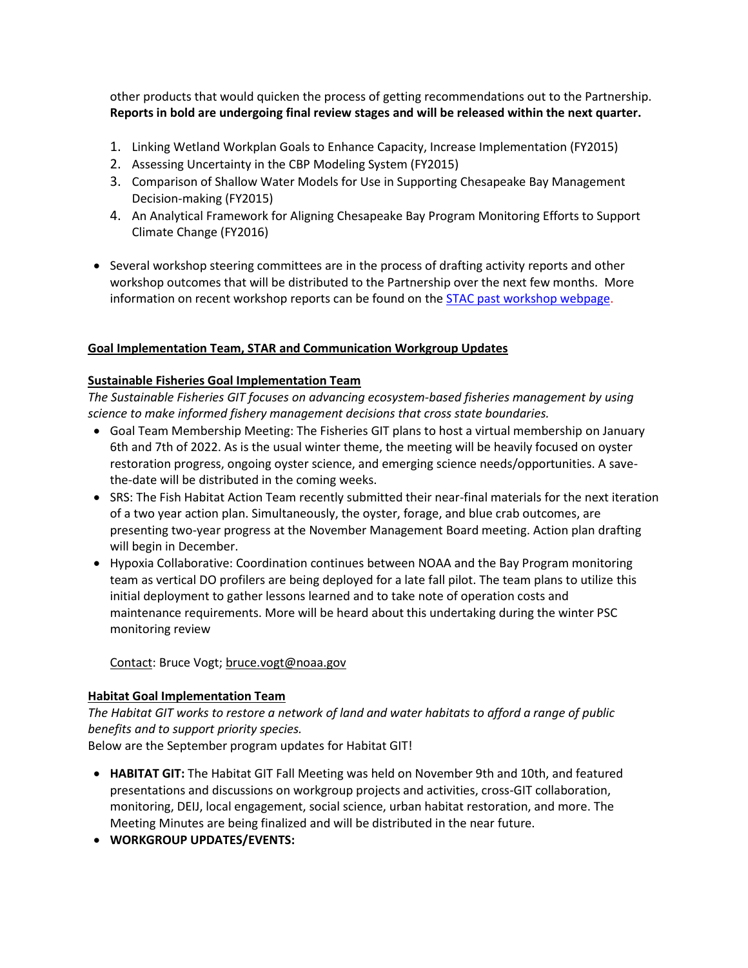other products that would quicken the process of getting recommendations out to the Partnership. **Reports in bold are undergoing final review stages and will be released within the next quarter.**

- 1. Linking Wetland Workplan Goals to Enhance Capacity, Increase Implementation (FY2015)
- 2. Assessing Uncertainty in the CBP Modeling System (FY2015)
- 3. Comparison of Shallow Water Models for Use in Supporting Chesapeake Bay Management Decision-making (FY2015)
- 4. An Analytical Framework for Aligning Chesapeake Bay Program Monitoring Efforts to Support Climate Change (FY2016)
- Several workshop steering committees are in the process of drafting activity reports and other workshop outcomes that will be distributed to the Partnership over the next few months. More information on recent workshop reports can be found on the **STAC** past workshop webpage.

### **Goal Implementation Team, STAR and Communication Workgroup Updates**

## **Sustainable Fisheries Goal Implementation Team**

*The Sustainable Fisheries GIT focuses on advancing ecosystem-based fisheries management by using science to make informed fishery management decisions that cross state boundaries.*

- Goal Team Membership Meeting: The Fisheries GIT plans to host a virtual membership on January 6th and 7th of 2022. As is the usual winter theme, the meeting will be heavily focused on oyster restoration progress, ongoing oyster science, and emerging science needs/opportunities. A savethe-date will be distributed in the coming weeks.
- SRS: The Fish Habitat Action Team recently submitted their near-final materials for the next iteration of a two year action plan. Simultaneously, the oyster, forage, and blue crab outcomes, are presenting two-year progress at the November Management Board meeting. Action plan drafting will begin in December.
- Hypoxia Collaborative: Coordination continues between NOAA and the Bay Program monitoring team as vertical DO profilers are being deployed for a late fall pilot. The team plans to utilize this initial deployment to gather lessons learned and to take note of operation costs and maintenance requirements. More will be heard about this undertaking during the winter PSC monitoring review

Contact: Bruce Vogt[; bruce.vogt@noaa.gov](mailto:bruce.vogt@noaa.gov)

### **Habitat Goal Implementation Team**

*The Habitat GIT works to restore a network of land and water habitats to afford a range of public benefits and to support priority species.*

Below are the September program updates for Habitat GIT!

- **HABITAT GIT:** The Habitat GIT Fall Meeting was held on November 9th and 10th, and featured presentations and discussions on workgroup projects and activities, cross-GIT collaboration, monitoring, DEIJ, local engagement, social science, urban habitat restoration, and more. The Meeting Minutes are being finalized and will be distributed in the near future.
- **WORKGROUP UPDATES/EVENTS:**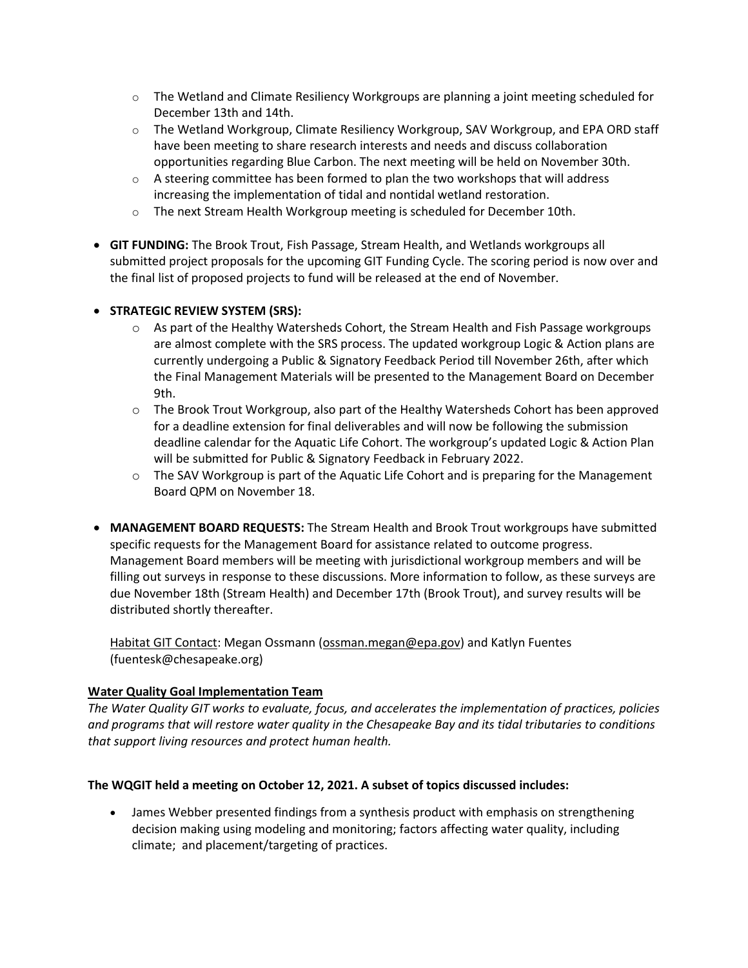- $\circ$  The Wetland and Climate Resiliency Workgroups are planning a joint meeting scheduled for December 13th and 14th.
- $\circ$  The Wetland Workgroup, Climate Resiliency Workgroup, SAV Workgroup, and EPA ORD staff have been meeting to share research interests and needs and discuss collaboration opportunities regarding Blue Carbon. The next meeting will be held on November 30th.
- $\circ$  A steering committee has been formed to plan the two workshops that will address increasing the implementation of tidal and nontidal wetland restoration.
- $\circ$  The next Stream Health Workgroup meeting is scheduled for December 10th.
- **GIT FUNDING:** The Brook Trout, Fish Passage, Stream Health, and Wetlands workgroups all submitted project proposals for the upcoming GIT Funding Cycle. The scoring period is now over and the final list of proposed projects to fund will be released at the end of November.

## • **STRATEGIC REVIEW SYSTEM (SRS):**

- o As part of the Healthy Watersheds Cohort, the Stream Health and Fish Passage workgroups are almost complete with the SRS process. The updated workgroup Logic & Action plans are currently undergoing a Public & Signatory Feedback Period till November 26th, after which the Final Management Materials will be presented to the Management Board on December 9th.
- o The Brook Trout Workgroup, also part of the Healthy Watersheds Cohort has been approved for a deadline extension for final deliverables and will now be following the submission deadline calendar for the Aquatic Life Cohort. The workgroup's updated Logic & Action Plan will be submitted for Public & Signatory Feedback in February 2022.
- $\circ$  The SAV Workgroup is part of the Aquatic Life Cohort and is preparing for the Management Board QPM on November 18.
- **MANAGEMENT BOARD REQUESTS:** The Stream Health and Brook Trout workgroups have submitted specific requests for the Management Board for assistance related to outcome progress. Management Board members will be meeting with jurisdictional workgroup members and will be filling out surveys in response to these discussions. More information to follow, as these surveys are due November 18th (Stream Health) and December 17th (Brook Trout), and survey results will be distributed shortly thereafter.

Habitat GIT Contact: Megan Ossmann [\(ossman.megan@epa.gov\)](mailto:ossman.megan@epa.gov) and Katlyn Fuentes (fuentesk@chesapeake.org)

## **Water Quality Goal Implementation Team**

*The Water Quality GIT works to evaluate, focus, and accelerates the implementation of practices, policies and programs that will restore water quality in the Chesapeake Bay and its tidal tributaries to conditions that support living resources and protect human health.* 

### **The WQGIT held a meeting on October 12, 2021. A subset of topics discussed includes:**

• James Webber presented findings from a synthesis product with emphasis on strengthening decision making using modeling and monitoring; factors affecting water quality, including climate; and placement/targeting of practices.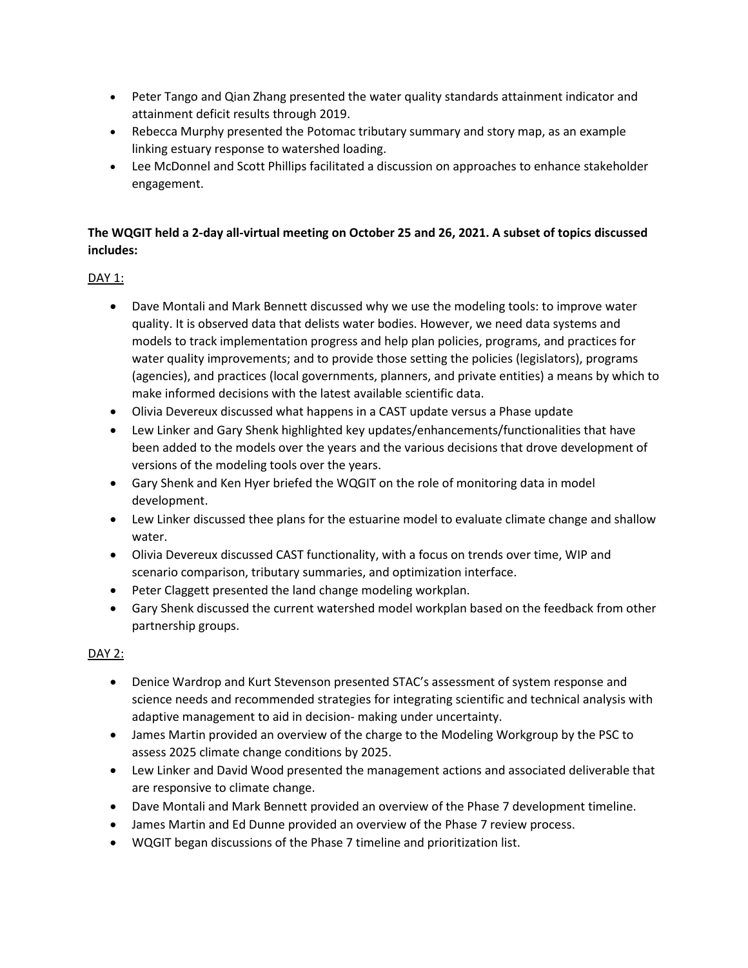- Peter Tango and Qian Zhang presented the water quality standards attainment indicator and attainment deficit results through 2019.
- Rebecca Murphy presented the Potomac tributary summary and story map, as an example linking estuary response to watershed loading.
- Lee McDonnel and Scott Phillips facilitated a discussion on approaches to enhance stakeholder engagement.

# **The WQGIT held a 2-day all-virtual meeting on October 25 and 26, 2021. A subset of topics discussed includes:**

## DAY 1:

- Dave Montali and Mark Bennett discussed why we use the modeling tools: to improve water quality. It is observed data that delists water bodies. However, we need data systems and models to track implementation progress and help plan policies, programs, and practices for water quality improvements; and to provide those setting the policies (legislators), programs (agencies), and practices (local governments, planners, and private entities) a means by which to make informed decisions with the latest available scientific data.
- Olivia Devereux discussed what happens in a CAST update versus a Phase update
- Lew Linker and Gary Shenk highlighted key updates/enhancements/functionalities that have been added to the models over the years and the various decisions that drove development of versions of the modeling tools over the years.
- Gary Shenk and Ken Hyer briefed the WQGIT on the role of monitoring data in model development.
- Lew Linker discussed thee plans for the estuarine model to evaluate climate change and shallow water.
- Olivia Devereux discussed CAST functionality, with a focus on trends over time, WIP and scenario comparison, tributary summaries, and optimization interface.
- Peter Claggett presented the land change modeling workplan.
- Gary Shenk discussed the current watershed model workplan based on the feedback from other partnership groups.

## DAY 2:

- Denice Wardrop and Kurt Stevenson presented STAC's assessment of system response and science needs and recommended strategies for integrating scientific and technical analysis with adaptive management to aid in decision- making under uncertainty.
- James Martin provided an overview of the charge to the Modeling Workgroup by the PSC to assess 2025 climate change conditions by 2025.
- Lew Linker and David Wood presented the management actions and associated deliverable that are responsive to climate change.
- Dave Montali and Mark Bennett provided an overview of the Phase 7 development timeline.
- James Martin and Ed Dunne provided an overview of the Phase 7 review process.
- WQGIT began discussions of the Phase 7 timeline and prioritization list.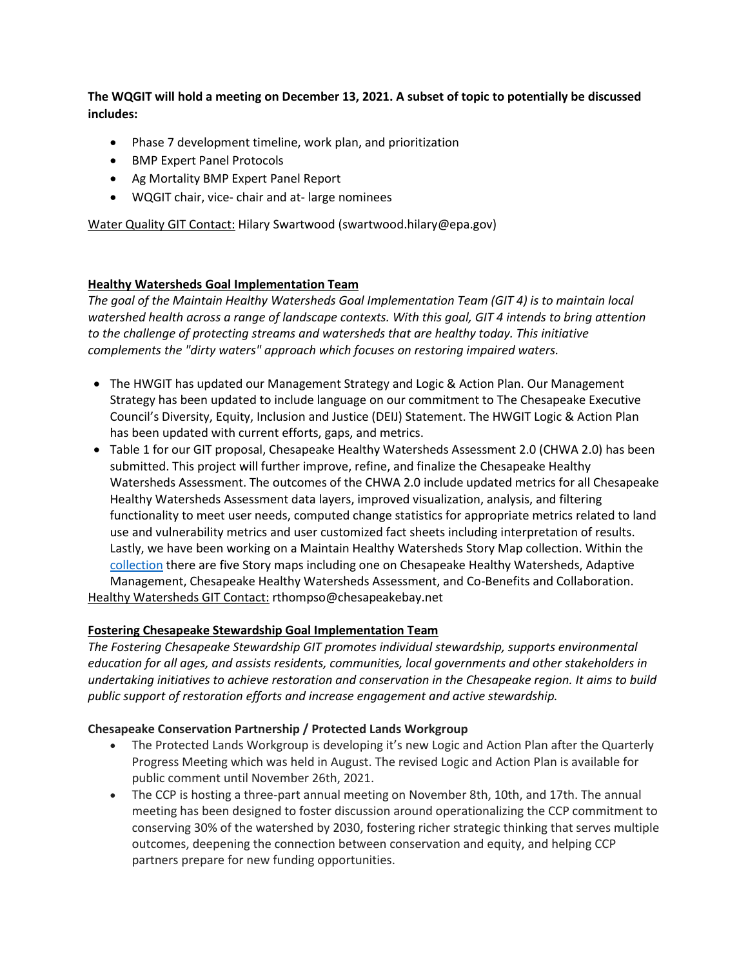**The WQGIT will hold a meeting on December 13, 2021. A subset of topic to potentially be discussed includes:**

- Phase 7 development timeline, work plan, and prioritization
- BMP Expert Panel Protocols
- Ag Mortality BMP Expert Panel Report
- WQGIT chair, vice- chair and at- large nominees

Water Quality GIT Contact: Hilary Swartwood (swartwood.hilary@epa.gov)

### **Healthy Watersheds Goal Implementation Team**

*The goal of the Maintain Healthy Watersheds Goal Implementation Team (GIT 4) is to maintain local watershed health across a range of landscape contexts. With this goal, GIT 4 intends to bring attention to the challenge of protecting streams and watersheds that are healthy today. This initiative complements the "dirty waters" approach which focuses on restoring impaired waters.* 

- The HWGIT has updated our Management Strategy and Logic & Action Plan. Our Management Strategy has been updated to include language on our commitment to The Chesapeake Executive Council's Diversity, Equity, Inclusion and Justice (DEIJ) Statement. The HWGIT Logic & Action Plan has been updated with current efforts, gaps, and metrics.
- Table 1 for our GIT proposal, Chesapeake Healthy Watersheds Assessment 2.0 (CHWA 2.0) has been submitted. This project will further improve, refine, and finalize the Chesapeake Healthy Watersheds Assessment. The outcomes of the CHWA 2.0 include updated metrics for all Chesapeake Healthy Watersheds Assessment data layers, improved visualization, analysis, and filtering functionality to meet user needs, computed change statistics for appropriate metrics related to land use and vulnerability metrics and user customized fact sheets including interpretation of results. Lastly, we have been working on a Maintain Healthy Watersheds Story Map collection. Within the [collection](https://gcc02.safelinks.protection.outlook.com/?url=https%3A%2F%2Fstorymaps.arcgis.com%2Fcollections%2F5c190c61945e4e458784ca64949b1cf0&data=04%7C01%7CStewart.Garrett%40epa.gov%7C212669f90aae40ac123d08d9a0806e8b%7C88b378b367484867acf976aacbeca6a7%7C0%7C0%7C637717296210254574%7CUnknown%7CTWFpbGZsb3d8eyJWIjoiMC4wLjAwMDAiLCJQIjoiV2luMzIiLCJBTiI6Ik1haWwiLCJXVCI6Mn0%3D%7C2000&sdata=afFLDREhUpfJzaULE3TCF640YM%2F4NAZYaZeKZTlElFk%3D&reserved=0) there are five Story maps including one on Chesapeake Healthy Watersheds, Adaptive Management, Chesapeake Healthy Watersheds Assessment, and Co-Benefits and Collaboration. Healthy Watersheds GIT Contact: rthompso@chesapeakebay.net

## **Fostering Chesapeake Stewardship Goal Implementation Team**

*The Fostering Chesapeake Stewardship GIT promotes individual stewardship, supports environmental education for all ages, and assists residents, communities, local governments and other stakeholders in undertaking initiatives to achieve restoration and conservation in the Chesapeake region. It aims to build public support of restoration efforts and increase engagement and active stewardship.*

### **Chesapeake Conservation Partnership / Protected Lands Workgroup**

- The Protected Lands Workgroup is developing it's new Logic and Action Plan after the Quarterly Progress Meeting which was held in August. The revised Logic and Action Plan is available for public comment until November 26th, 2021.
- The CCP is hosting a three-part annual meeting on November 8th, 10th, and 17th. The annual meeting has been designed to foster discussion around operationalizing the CCP commitment to conserving 30% of the watershed by 2030, fostering richer strategic thinking that serves multiple outcomes, deepening the connection between conservation and equity, and helping CCP partners prepare for new funding opportunities.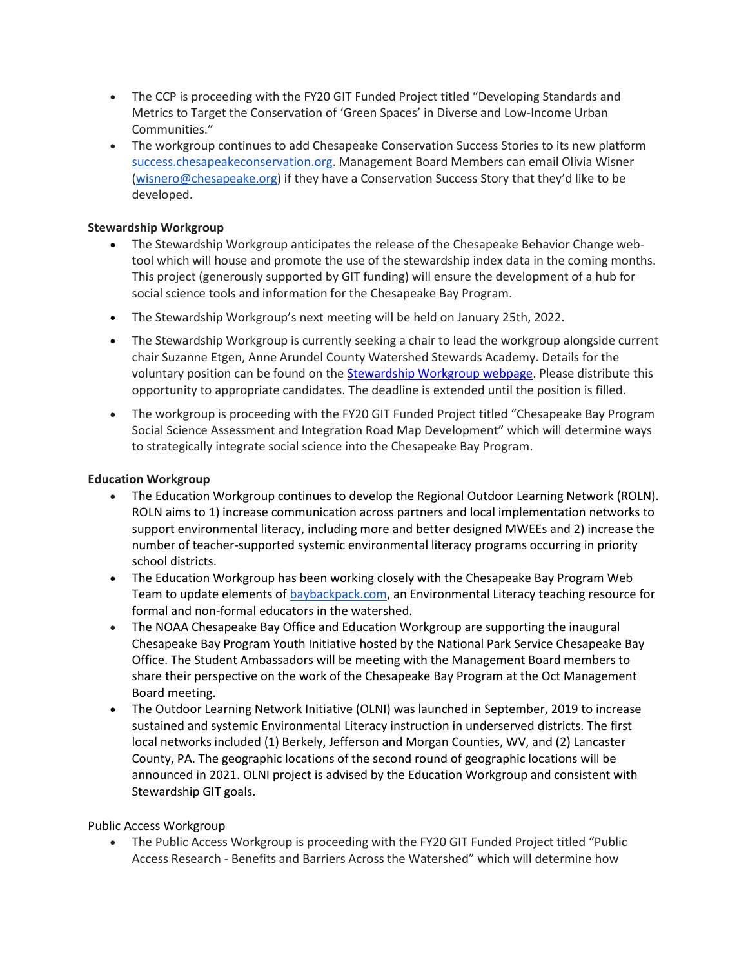- The CCP is proceeding with the FY20 GIT Funded Project titled "Developing Standards and Metrics to Target the Conservation of 'Green Spaces' in Diverse and Low-Income Urban Communities."
- The workgroup continues to add Chesapeake Conservation Success Stories to its new platform [success.chesapeakeconservation.org.](http://success.chesapeakeconservation.org/) Management Board Members can email Olivia Wisner [\(wisnero@chesapeake.org](mailto:wisnero@chesapeake.org)) if they have a Conservation Success Story that they'd like to be developed.

## **Stewardship Workgroup**

- The Stewardship Workgroup anticipates the release of the Chesapeake Behavior Change webtool which will house and promote the use of the stewardship index data in the coming months. This project (generously supported by GIT funding) will ensure the development of a hub for social science tools and information for the Chesapeake Bay Program.
- The Stewardship Workgroup's next meeting will be held on January 25th, 2022.
- The Stewardship Workgroup is currently seeking a chair to lead the workgroup alongside current chair Suzanne Etgen, Anne Arundel County Watershed Stewards Academy. Details for the voluntary position can be found on the [Stewardship Workgroup webpage.](https://www.chesapeakebay.net/documents/Call_for_Stewardship_Workgroup_Co-Chair_2021.pdf) Please distribute this opportunity to appropriate candidates. The deadline is extended until the position is filled.
- The workgroup is proceeding with the FY20 GIT Funded Project titled "Chesapeake Bay Program Social Science Assessment and Integration Road Map Development" which will determine ways to strategically integrate social science into the Chesapeake Bay Program.

### **Education Workgroup**

- The Education Workgroup continues to develop the Regional Outdoor Learning Network (ROLN). ROLN aims to 1) increase communication across partners and local implementation networks to support environmental literacy, including more and better designed MWEEs and 2) increase the number of teacher-supported systemic environmental literacy programs occurring in priority school districts.
- The Education Workgroup has been working closely with the Chesapeake Bay Program Web Team to update elements of [baybackpack.com,](https://baybackpack.com/) an Environmental Literacy teaching resource for formal and non-formal educators in the watershed.
- The NOAA Chesapeake Bay Office and Education Workgroup are supporting the inaugural Chesapeake Bay Program Youth Initiative hosted by the National Park Service Chesapeake Bay Office. The Student Ambassadors will be meeting with the Management Board members to share their perspective on the work of the Chesapeake Bay Program at the Oct Management Board meeting.
- The Outdoor Learning Network Initiative (OLNI) was launched in September, 2019 to increase sustained and systemic Environmental Literacy instruction in underserved districts. The first local networks included (1) Berkely, Jefferson and Morgan Counties, WV, and (2) Lancaster County, PA. The geographic locations of the second round of geographic locations will be announced in 2021. OLNI project is advised by the Education Workgroup and consistent with Stewardship GIT goals.

### Public Access Workgroup

• The Public Access Workgroup is proceeding with the FY20 GIT Funded Project titled "Public Access Research - Benefits and Barriers Across the Watershed" which will determine how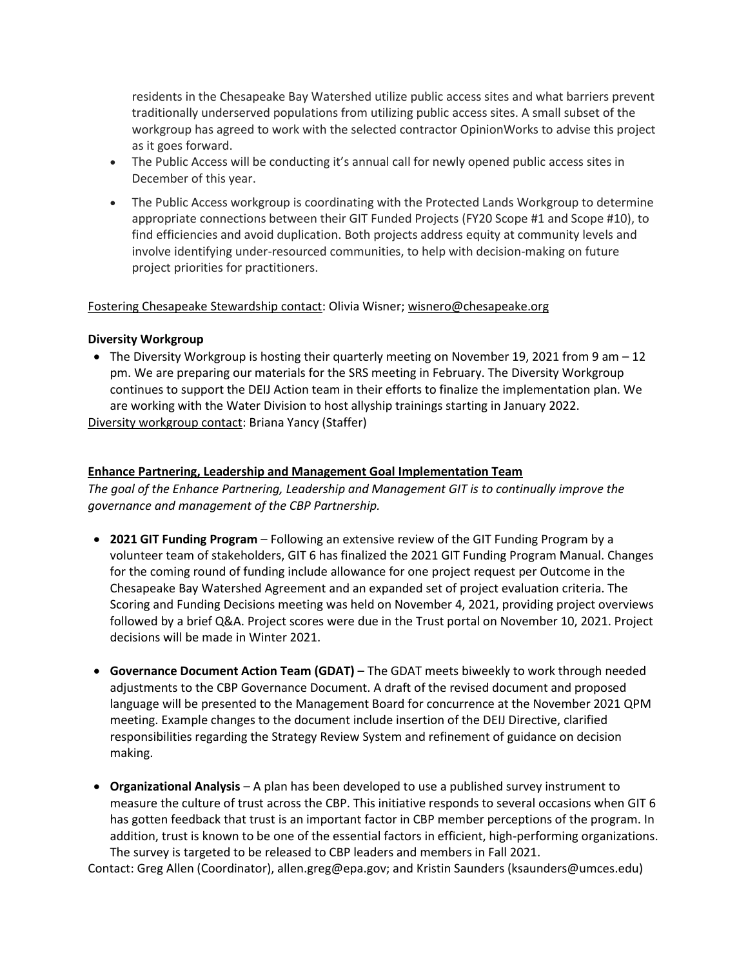residents in the Chesapeake Bay Watershed utilize public access sites and what barriers prevent traditionally underserved populations from utilizing public access sites. A small subset of the workgroup has agreed to work with the selected contractor OpinionWorks to advise this project as it goes forward.

- The Public Access will be conducting it's annual call for newly opened public access sites in December of this year.
- The Public Access workgroup is coordinating with the Protected Lands Workgroup to determine appropriate connections between their GIT Funded Projects (FY20 Scope #1 and Scope #10), to find efficiencies and avoid duplication. Both projects address equity at community levels and involve identifying under-resourced communities, to help with decision-making on future project priorities for practitioners.

### Fostering Chesapeake Stewardship contact: Olivia Wisner; [wisnero@chesapeake.org](mailto:wisnero@chesapeake.org)

### **Diversity Workgroup**

• The Diversity Workgroup is hosting their quarterly meeting on November 19, 2021 from 9 am - 12 pm. We are preparing our materials for the SRS meeting in February. The Diversity Workgroup continues to support the DEIJ Action team in their efforts to finalize the implementation plan. We are working with the Water Division to host allyship trainings starting in January 2022.

Diversity workgroup contact: Briana Yancy (Staffer)

#### **Enhance Partnering, Leadership and Management Goal Implementation Team**

*The goal of the Enhance Partnering, Leadership and Management GIT is to continually improve the governance and management of the CBP Partnership.* 

- **2021 GIT Funding Program** Following an extensive review of the GIT Funding Program by a volunteer team of stakeholders, GIT 6 has finalized the 2021 GIT Funding Program Manual. Changes for the coming round of funding include allowance for one project request per Outcome in the Chesapeake Bay Watershed Agreement and an expanded set of project evaluation criteria. The Scoring and Funding Decisions meeting was held on November 4, 2021, providing project overviews followed by a brief Q&A. Project scores were due in the Trust portal on November 10, 2021. Project decisions will be made in Winter 2021.
- **Governance Document Action Team (GDAT)** The GDAT meets biweekly to work through needed adjustments to the CBP Governance Document. A draft of the revised document and proposed language will be presented to the Management Board for concurrence at the November 2021 QPM meeting. Example changes to the document include insertion of the DEIJ Directive, clarified responsibilities regarding the Strategy Review System and refinement of guidance on decision making.
- **Organizational Analysis** A plan has been developed to use a published survey instrument to measure the culture of trust across the CBP. This initiative responds to several occasions when GIT 6 has gotten feedback that trust is an important factor in CBP member perceptions of the program. In addition, trust is known to be one of the essential factors in efficient, high-performing organizations. The survey is targeted to be released to CBP leaders and members in Fall 2021.

Contact: Greg Allen (Coordinator), allen.greg@epa.gov; and Kristin Saunders (ksaunders@umces.edu)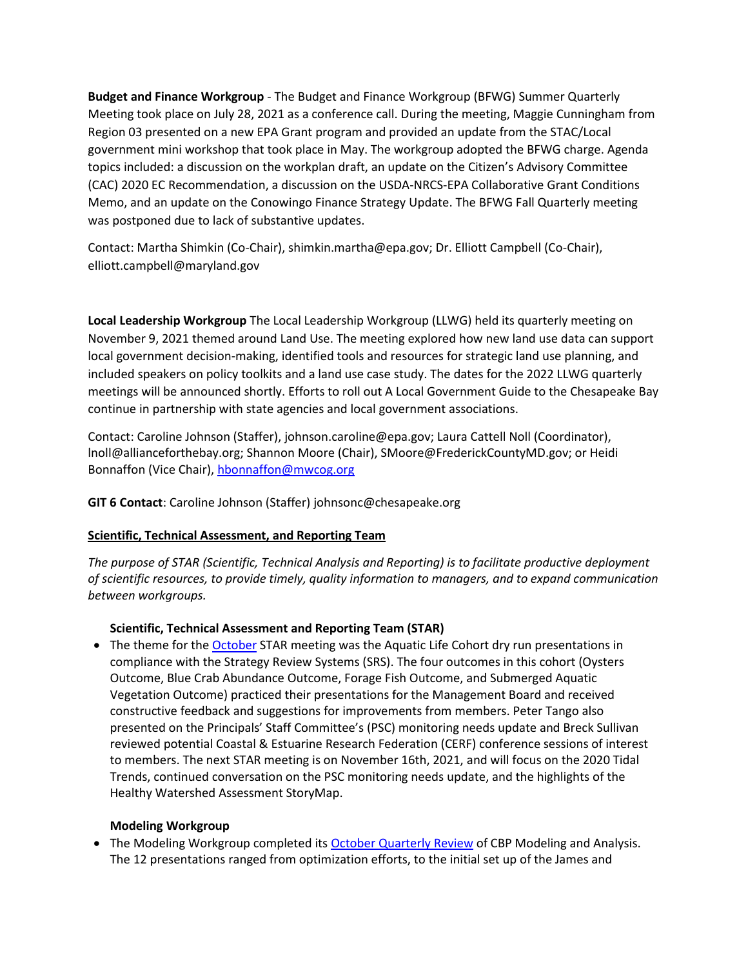**Budget and Finance Workgroup** - The Budget and Finance Workgroup (BFWG) Summer Quarterly Meeting took place on July 28, 2021 as a conference call. During the meeting, Maggie Cunningham from Region 03 presented on a new EPA Grant program and provided an update from the STAC/Local government mini workshop that took place in May. The workgroup adopted the BFWG charge. Agenda topics included: a discussion on the workplan draft, an update on the Citizen's Advisory Committee (CAC) 2020 EC Recommendation, a discussion on the USDA-NRCS-EPA Collaborative Grant Conditions Memo, and an update on the Conowingo Finance Strategy Update. The BFWG Fall Quarterly meeting was postponed due to lack of substantive updates.

Contact: Martha Shimkin (Co-Chair), shimkin.martha@epa.gov; Dr. Elliott Campbell (Co-Chair), elliott.campbell@maryland.gov

**Local Leadership Workgroup** The Local Leadership Workgroup (LLWG) held its quarterly meeting on November 9, 2021 themed around Land Use. The meeting explored how new land use data can support local government decision-making, identified tools and resources for strategic land use planning, and included speakers on policy toolkits and a land use case study. The dates for the 2022 LLWG quarterly meetings will be announced shortly. Efforts to roll out A Local Government Guide to the Chesapeake Bay continue in partnership with state agencies and local government associations.

Contact: Caroline Johnson (Staffer), johnson.caroline@epa.gov; Laura Cattell Noll (Coordinator), lnoll@allianceforthebay.org; Shannon Moore (Chair), SMoore@FrederickCountyMD.gov; or Heidi Bonnaffon (Vice Chair), [hbonnaffon@mwcog.org](mailto:hbonnaffon@mwcog.org)

**GIT 6 Contact**: Caroline Johnson (Staffer) johnsonc@chesapeake.org

## **Scientific, Technical Assessment, and Reporting Team**

*The purpose of STAR (Scientific, Technical Analysis and Reporting) is to facilitate productive deployment of scientific resources, to provide timely, quality information to managers, and to expand communication between workgroups.*

## **Scientific, Technical Assessment and Reporting Team (STAR)**

• The theme for th[e October](https://www.chesapeakebay.net/what/event/joint_c_s_star_october_2021_meeting) STAR meeting was the Aquatic Life Cohort dry run presentations in compliance with the Strategy Review Systems (SRS). The four outcomes in this cohort (Oysters Outcome, Blue Crab Abundance Outcome, Forage Fish Outcome, and Submerged Aquatic Vegetation Outcome) practiced their presentations for the Management Board and received constructive feedback and suggestions for improvements from members. Peter Tango also presented on the Principals' Staff Committee's (PSC) monitoring needs update and Breck Sullivan reviewed potential Coastal & Estuarine Research Federation (CERF) conference sessions of interest to members. The next STAR meeting is on November 16th, 2021, and will focus on the 2020 Tidal Trends, continued conversation on the PSC monitoring needs update, and the highlights of the Healthy Watershed Assessment StoryMap.

## **Modeling Workgroup**

• The Modeling Workgroup completed its [October Quarterly Review](https://www.chesapeakebay.net/what/event/october_2021_modeling_workgroup_meeting_quarterly_review) of CBP Modeling and Analysis. The 12 presentations ranged from optimization efforts, to the initial set up of the James and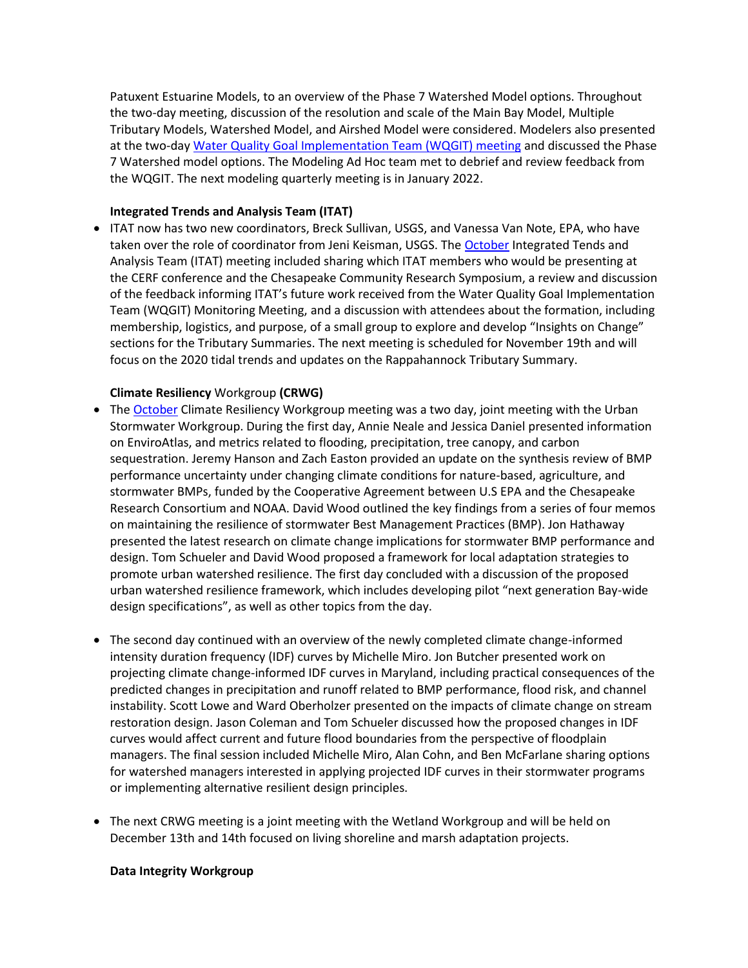Patuxent Estuarine Models, to an overview of the Phase 7 Watershed Model options. Throughout the two-day meeting, discussion of the resolution and scale of the Main Bay Model, Multiple Tributary Models, Watershed Model, and Airshed Model were considered. Modelers also presented at the two-day [Water Quality Goal Implementation Team \(WQGIT\) meeting](https://www.chesapeakebay.net/what/event/water_quality_goal_implementation_team_conference_call_october_25_2021) and discussed the Phase 7 Watershed model options. The Modeling Ad Hoc team met to debrief and review feedback from the WQGIT. The next modeling quarterly meeting is in January 2022.

### **Integrated Trends and Analysis Team (ITAT)**

• ITAT now has two new coordinators, Breck Sullivan, USGS, and Vanessa Van Note, EPA, who have taken over the role of coordinator from Jeni Keisman, USGS. The [October](https://gcc02.safelinks.protection.outlook.com/?url=https%3A%2F%2Fwww.chesapeakebay.net%2Fwhat%2Fevent%2Fintegrated_trends_analysis_team_meeting_october_2021&data=04%7C01%7CVanNote.Vanessa%40epa.gov%7Cb9fd314841b7407ddca908d9a2f3d124%7C88b378b367484867acf976aacbeca6a7%7C0%7C0%7C637719990472114041%7CUnknown%7CTWFpbGZsb3d8eyJWIjoiMC4wLjAwMDAiLCJQIjoiV2luMzIiLCJBTiI6Ik1haWwiLCJXVCI6Mn0%3D%7C1000&sdata=lqMgCs3MVwCCZiFNQXScVwrjqI9T%2FqJEKJI69GoilzM%3D&reserved=0) Integrated Tends and Analysis Team (ITAT) meeting included sharing which ITAT members who would be presenting at the CERF conference and the Chesapeake Community Research Symposium, a review and discussion of the feedback informing ITAT's future work received from the Water Quality Goal Implementation Team (WQGIT) Monitoring Meeting, and a discussion with attendees about the formation, including membership, logistics, and purpose, of a small group to explore and develop "Insights on Change" sections for the Tributary Summaries. The next meeting is scheduled for November 19th and will focus on the 2020 tidal trends and updates on the Rappahannock Tributary Summary.

#### **Climate Resiliency** Workgroup **(CRWG)**

- The [October](https://www.chesapeakebay.net/what/event/climate_resiliency_workgroup_crwg_october_2021_meeting) Climate Resiliency Workgroup meeting was a two day, joint meeting with the Urban Stormwater Workgroup. During the first day, Annie Neale and Jessica Daniel presented information on EnviroAtlas, and metrics related to flooding, precipitation, tree canopy, and carbon sequestration. Jeremy Hanson and Zach Easton provided an update on the synthesis review of BMP performance uncertainty under changing climate conditions for nature-based, agriculture, and stormwater BMPs, funded by the Cooperative Agreement between U.S EPA and the Chesapeake Research Consortium and NOAA. David Wood outlined the key findings from a series of four memos on maintaining the resilience of stormwater Best Management Practices (BMP). Jon Hathaway presented the latest research on climate change implications for stormwater BMP performance and design. Tom Schueler and David Wood proposed a framework for local adaptation strategies to promote urban watershed resilience. The first day concluded with a discussion of the proposed urban watershed resilience framework, which includes developing pilot "next generation Bay-wide design specifications", as well as other topics from the day.
- The second day continued with an overview of the newly completed climate change-informed intensity duration frequency (IDF) curves by Michelle Miro. Jon Butcher presented work on projecting climate change-informed IDF curves in Maryland, including practical consequences of the predicted changes in precipitation and runoff related to BMP performance, flood risk, and channel instability. Scott Lowe and Ward Oberholzer presented on the impacts of climate change on stream restoration design. Jason Coleman and Tom Schueler discussed how the proposed changes in IDF curves would affect current and future flood boundaries from the perspective of floodplain managers. The final session included Michelle Miro, Alan Cohn, and Ben McFarlane sharing options for watershed managers interested in applying projected IDF curves in their stormwater programs or implementing alternative resilient design principles.
- The next CRWG meeting is a joint meeting with the Wetland Workgroup and will be held on December 13th and 14th focused on living shoreline and marsh adaptation projects.

#### **Data Integrity Workgroup**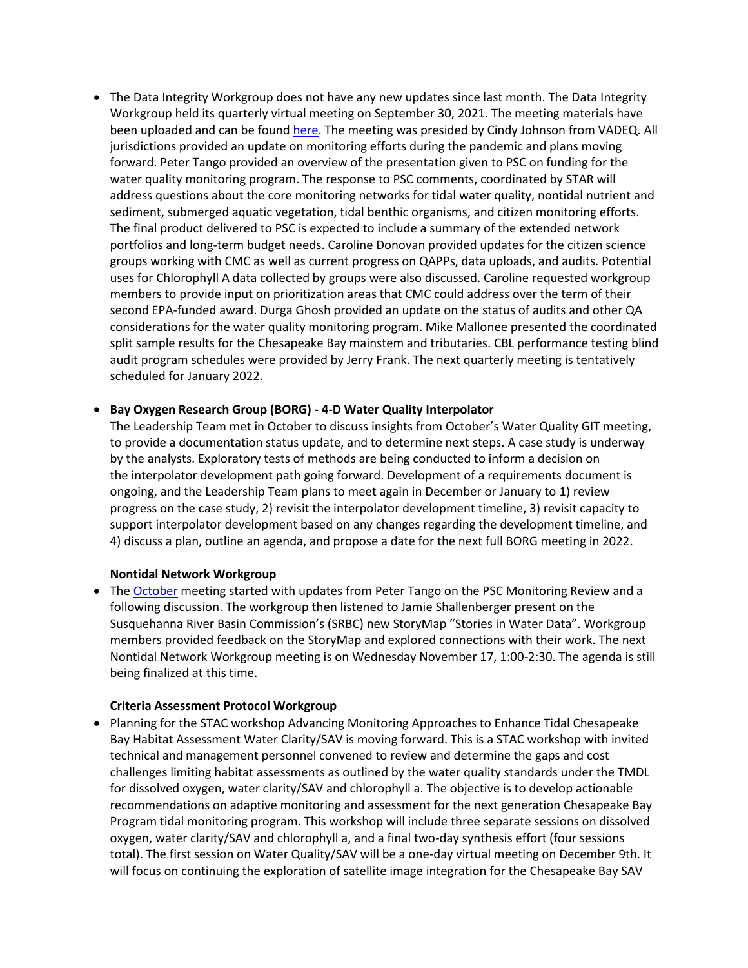• The Data Integrity Workgroup does not have any new updates since last month. The Data Integrity Workgroup held its quarterly virtual meeting on September 30, 2021. The meeting materials have been uploaded and can be found [here.](https://www.chesapeakebay.net/what/event/data_integrity_workgroup_september_2021_meeting) The meeting was presided by Cindy Johnson from VADEQ. All jurisdictions provided an update on monitoring efforts during the pandemic and plans moving forward. Peter Tango provided an overview of the presentation given to PSC on funding for the water quality monitoring program. The response to PSC comments, coordinated by STAR will address questions about the core monitoring networks for tidal water quality, nontidal nutrient and sediment, submerged aquatic vegetation, tidal benthic organisms, and citizen monitoring efforts. The final product delivered to PSC is expected to include a summary of the extended network portfolios and long-term budget needs. Caroline Donovan provided updates for the citizen science groups working with CMC as well as current progress on QAPPs, data uploads, and audits. Potential uses for Chlorophyll A data collected by groups were also discussed. Caroline requested workgroup members to provide input on prioritization areas that CMC could address over the term of their second EPA-funded award. Durga Ghosh provided an update on the status of audits and other QA considerations for the water quality monitoring program. Mike Mallonee presented the coordinated split sample results for the Chesapeake Bay mainstem and tributaries. CBL performance testing blind audit program schedules were provided by Jerry Frank. The next quarterly meeting is tentatively scheduled for January 2022.

### • **Bay Oxygen Research Group (BORG) - 4-D Water Quality Interpolator**

The Leadership Team met in October to discuss insights from October's Water Quality GIT meeting, to provide a documentation status update, and to determine next steps. A case study is underway by the analysts. Exploratory tests of methods are being conducted to inform a decision on the interpolator development path going forward. Development of a requirements document is ongoing, and the Leadership Team plans to meet again in December or January to 1) review progress on the case study, 2) revisit the interpolator development timeline, 3) revisit capacity to support interpolator development based on any changes regarding the development timeline, and 4) discuss a plan, outline an agenda, and propose a date for the next full BORG meeting in 2022.

#### **Nontidal Network Workgroup**

• The [October](https://www.chesapeakebay.net/what/event/nontidal_network_workgroup_october_2021_meeting) meeting started with updates from Peter Tango on the PSC Monitoring Review and a following discussion. The workgroup then listened to Jamie Shallenberger present on the Susquehanna River Basin Commission's (SRBC) new StoryMap "Stories in Water Data". Workgroup members provided feedback on the StoryMap and explored connections with their work. The next Nontidal Network Workgroup meeting is on Wednesday November 17, 1:00-2:30. The agenda is still being finalized at this time.

#### **Criteria Assessment Protocol Workgroup**

• Planning for the STAC workshop Advancing Monitoring Approaches to Enhance Tidal Chesapeake Bay Habitat Assessment Water Clarity/SAV is moving forward. This is a STAC workshop with invited technical and management personnel convened to review and determine the gaps and cost challenges limiting habitat assessments as outlined by the water quality standards under the TMDL for dissolved oxygen, water clarity/SAV and chlorophyll a. The objective is to develop actionable recommendations on adaptive monitoring and assessment for the next generation Chesapeake Bay Program tidal monitoring program. This workshop will include three separate sessions on dissolved oxygen, water clarity/SAV and chlorophyll a, and a final two-day synthesis effort (four sessions total). The first session on Water Quality/SAV will be a one-day virtual meeting on December 9th. It will focus on continuing the exploration of satellite image integration for the Chesapeake Bay SAV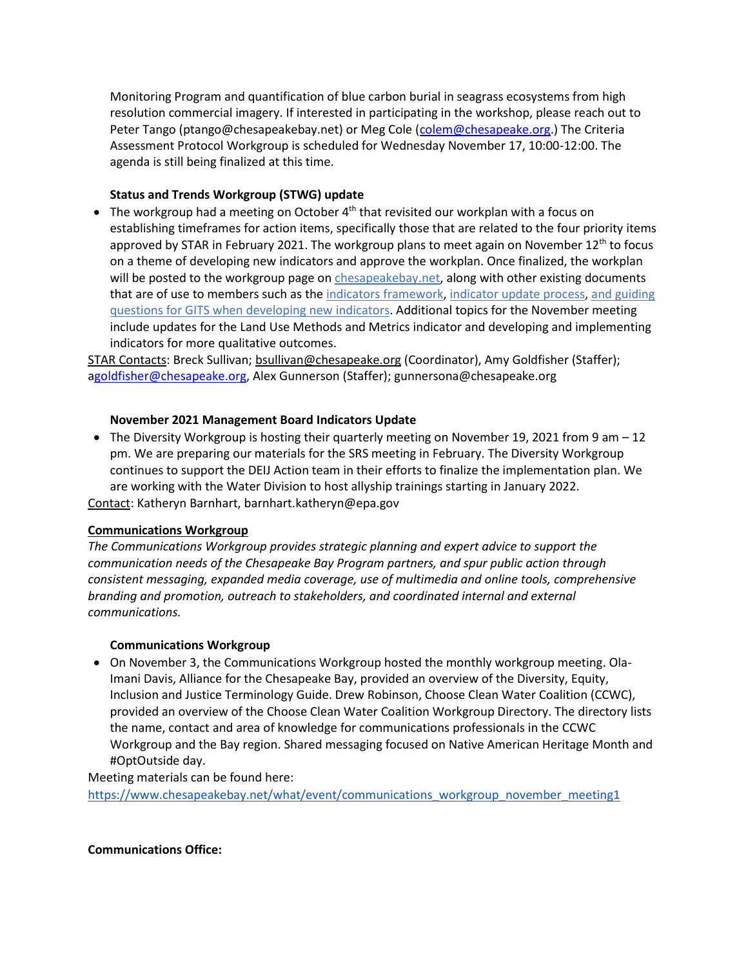Monitoring Program and quantification of blue carbon burial in seagrass ecosystems from high resolution commercial imagery. If interested in participating in the workshop, please reach out to Peter Tango (ptango@chesapeakebay.net) or Meg Cole [\(colem@chesapeake.org.](mailto:colem@chesapeake.org)) The Criteria Assessment Protocol Workgroup is scheduled for Wednesday November 17, 10:00-12:00. The agenda is still being finalized at this time.

## **Status and Trends Workgroup (STWG) update**

• The workgroup had a meeting on October 4<sup>th</sup> that revisited our workplan with a focus on establishing timeframes for action items, specifically those that are related to the four priority items approved by STAR in February 2021. The workgroup plans to meet again on November  $12<sup>th</sup>$  to focus on a theme of developing new indicators and approve the workplan. Once finalized, the workplan will be posted to the workgroup page on [chesapeakebay.net,](https://www.chesapeakebay.net/who/group/indicators_workgroup) along with other existing documents that are of use to members such as the indicators [framework,](https://www.chesapeakebay.net/channel_files/24867/approved_cbp_indicators_framework_and_management_process_november_2015.pdf) [indicator](https://www.chesapeakebay.net/channel_files/24154/stw_indicator_process_final_06-16-2016.pdf) update process, and [guiding](https://www.chesapeakebay.net/channel_files/19126/guidance_for_gits_as_they_identify_indicators_for_public_reporting.doc.docx) questions for GITS when [developing](https://www.chesapeakebay.net/channel_files/19126/guidance_for_gits_as_they_identify_indicators_for_public_reporting.doc.docx) new indicators. Additional topics for the November meeting include updates for the Land Use Methods and Metrics indicator and developing and implementing indicators for more qualitative outcomes.

STAR Contacts: Breck Sullivan; [bsullivan@chesapeake.org](mailto:bsullivan@chesapeake.org) (Coordinator), Amy Goldfisher (Staffer); [agoldfisher@chesapeake.org,](mailto:goldfisher@chesapeake.org) Alex Gunnerson (Staffer); gunnersona@chesapeake.org

## **November 2021 Management Board Indicators Update**

• The Diversity Workgroup is hosting their quarterly meeting on November 19, 2021 from 9 am – 12 pm. We are preparing our materials for the SRS meeting in February. The Diversity Workgroup continues to support the DEIJ Action team in their efforts to finalize the implementation plan. We are working with the Water Division to host allyship trainings starting in January 2022.

Contact: Katheryn Barnhart, barnhart.katheryn@epa.gov

### **Communications Workgroup**

*The Communications Workgroup provides strategic planning and expert advice to support the communication needs of the Chesapeake Bay Program partners, and spur public action through consistent messaging, expanded media coverage, use of multimedia and online tools, comprehensive branding and promotion, outreach to stakeholders, and coordinated internal and external communications.*

### **Communications Workgroup**

• On November 3, the Communications Workgroup hosted the monthly workgroup meeting. Ola-Imani Davis, Alliance for the Chesapeake Bay, provided an overview of the Diversity, Equity, Inclusion and Justice Terminology Guide. Drew Robinson, Choose Clean Water Coalition (CCWC), provided an overview of the Choose Clean Water Coalition Workgroup Directory. The directory lists the name, contact and area of knowledge for communications professionals in the CCWC Workgroup and the Bay region. Shared messaging focused on Native American Heritage Month and #OptOutside day.

Meeting materials can be found here:

[https://www.chesapeakebay.net/what/event/communications\\_workgroup\\_november\\_meeting1](https://www.chesapeakebay.net/what/event/communications_workgroup_november_meeting1)

### **Communications Office:**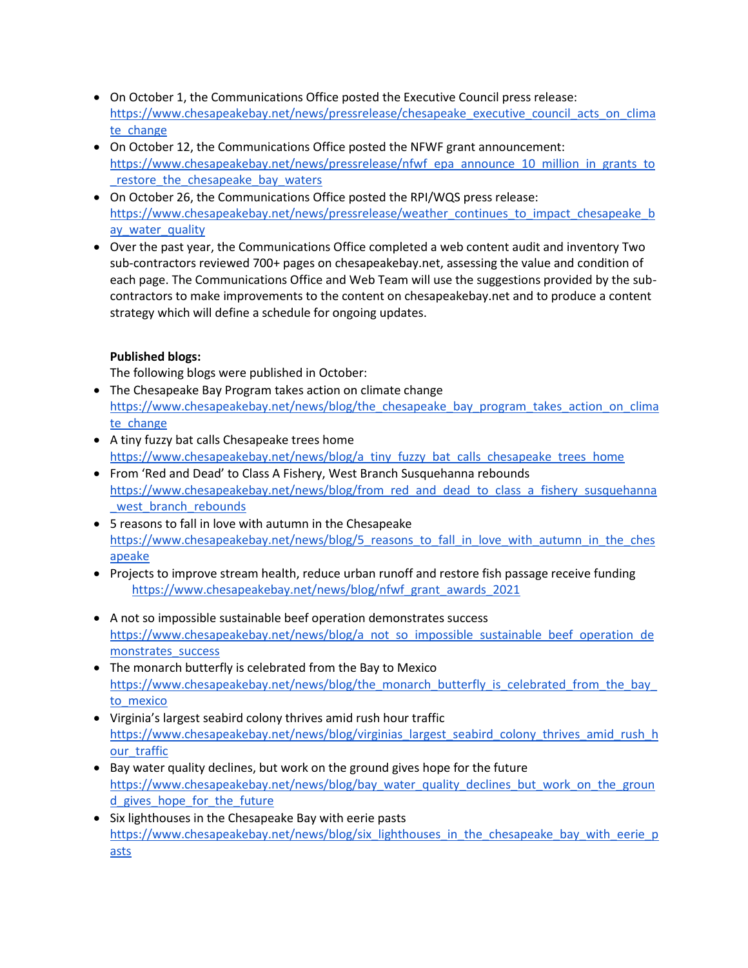- On October 1, the Communications Office posted the Executive Council press release: [https://www.chesapeakebay.net/news/pressrelease/chesapeake\\_executive\\_council\\_acts\\_on\\_clima](https://www.chesapeakebay.net/news/pressrelease/chesapeake_executive_council_acts_on_climate_change) te change
- On October 12, the Communications Office posted the NFWF grant announcement: [https://www.chesapeakebay.net/news/pressrelease/nfwf\\_epa\\_announce\\_10\\_million\\_in\\_grants\\_to](https://www.chesapeakebay.net/news/pressrelease/nfwf_epa_announce_10_million_in_grants_to_restore_the_chesapeake_bay_waters) [\\_restore\\_the\\_chesapeake\\_bay\\_waters](https://www.chesapeakebay.net/news/pressrelease/nfwf_epa_announce_10_million_in_grants_to_restore_the_chesapeake_bay_waters)
- On October 26, the Communications Office posted the RPI/WQS press release: [https://www.chesapeakebay.net/news/pressrelease/weather\\_continues\\_to\\_impact\\_chesapeake\\_b](https://www.chesapeakebay.net/news/pressrelease/weather_continues_to_impact_chesapeake_bay_water_quality) ay water quality
- Over the past year, the Communications Office completed a web content audit and inventory Two sub-contractors reviewed 700+ pages on chesapeakebay.net, assessing the value and condition of each page. The Communications Office and Web Team will use the suggestions provided by the subcontractors to make improvements to the content on chesapeakebay.net and to produce a content strategy which will define a schedule for ongoing updates.

## **Published blogs:**

The following blogs were published in October:

- The Chesapeake Bay Program takes action on climate change [https://www.chesapeakebay.net/news/blog/the\\_chesapeake\\_bay\\_program\\_takes\\_action\\_on\\_clima](https://www.chesapeakebay.net/news/blog/the_chesapeake_bay_program_takes_action_on_climate_change) te change
- A tiny fuzzy bat calls Chesapeake trees home [https://www.chesapeakebay.net/news/blog/a\\_tiny\\_fuzzy\\_bat\\_calls\\_chesapeake\\_trees\\_home](https://www.chesapeakebay.net/news/blog/a_tiny_fuzzy_bat_calls_chesapeake_trees_home)
- From 'Red and Dead' to Class A Fishery, West Branch Susquehanna rebounds [https://www.chesapeakebay.net/news/blog/from\\_red\\_and\\_dead\\_to\\_class\\_a\\_fishery\\_susquehanna](https://www.chesapeakebay.net/news/blog/from_red_and_dead_to_class_a_fishery_susquehanna_west_branch_rebounds) west branch rebounds
- 5 reasons to fall in love with autumn in the Chesapeake [https://www.chesapeakebay.net/news/blog/5\\_reasons\\_to\\_fall\\_in\\_love\\_with\\_autumn\\_in\\_the\\_ches](https://www.chesapeakebay.net/news/blog/5_reasons_to_fall_in_love_with_autumn_in_the_chesapeake) [apeake](https://www.chesapeakebay.net/news/blog/5_reasons_to_fall_in_love_with_autumn_in_the_chesapeake)
- Projects to improve stream health, reduce urban runoff and restore fish passage receive funding [https://www.chesapeakebay.net/news/blog/nfwf\\_grant\\_awards\\_2021](https://www.chesapeakebay.net/news/blog/nfwf_grant_awards_2021)
- A not so impossible sustainable beef operation demonstrates success [https://www.chesapeakebay.net/news/blog/a\\_not\\_so\\_impossible\\_sustainable\\_beef\\_operation\\_de](https://www.chesapeakebay.net/news/blog/a_not_so_impossible_sustainable_beef_operation_demonstrates_success) [monstrates\\_success](https://www.chesapeakebay.net/news/blog/a_not_so_impossible_sustainable_beef_operation_demonstrates_success)
- The monarch butterfly is celebrated from the Bay to Mexico https://www.chesapeakebay.net/news/blog/the\_monarch\_butterfly\_is\_celebrated\_from\_the\_bay [to\\_mexico](https://www.chesapeakebay.net/news/blog/the_monarch_butterfly_is_celebrated_from_the_bay_to_mexico)
- Virginia's largest seabird colony thrives amid rush hour traffic [https://www.chesapeakebay.net/news/blog/virginias\\_largest\\_seabird\\_colony\\_thrives\\_amid\\_rush\\_h](https://www.chesapeakebay.net/news/blog/virginias_largest_seabird_colony_thrives_amid_rush_hour_traffic) our traffic
- Bay water quality declines, but work on the ground gives hope for the future [https://www.chesapeakebay.net/news/blog/bay\\_water\\_quality\\_declines\\_but\\_work\\_on\\_the\\_groun](https://www.chesapeakebay.net/news/blog/bay_water_quality_declines_but_work_on_the_ground_gives_hope_for_the_future) d gives hope for the future
- Six lighthouses in the Chesapeake Bay with eerie pasts [https://www.chesapeakebay.net/news/blog/six\\_lighthouses\\_in\\_the\\_chesapeake\\_bay\\_with\\_eerie\\_p](https://www.chesapeakebay.net/news/blog/six_lighthouses_in_the_chesapeake_bay_with_eerie_pasts) [asts](https://www.chesapeakebay.net/news/blog/six_lighthouses_in_the_chesapeake_bay_with_eerie_pasts)